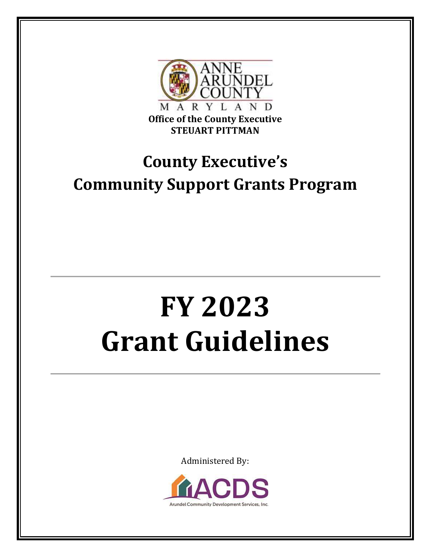

# **County Executive's Community Support Grants Program**

# **FY 2023 Grant Guidelines**

Administered By:

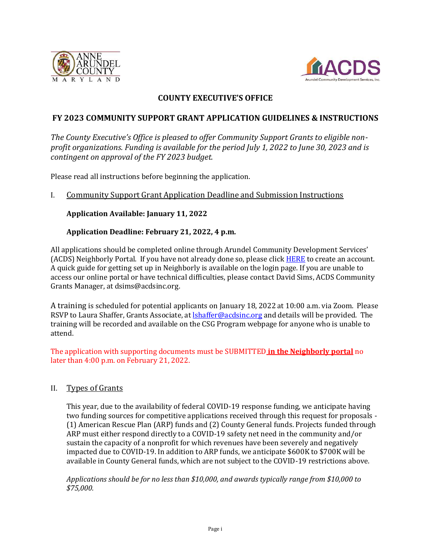



#### **COUNTY EXECUTIVE'S OFFICE**

#### **FY 2023 COMMUNITY SUPPORT GRANT APPLICATION GUIDELINES & INSTRUCTIONS**

*The County Executive's Office is pleased to offer Community Support Grants to eligible nonprofit organizations. Funding is available for the period July 1, 2022 to June 30, 2023 and is contingent on approval of the FY 2023 budget.* 

Please read all instructions before beginning the application.

#### I. Community Support Grant Application Deadline and Submission Instructions

#### **Application Available: January 11, 2022**

#### **Application Deadline: February 21, 2022, 4 p.m.**

All applications should be completed online through Arundel Community Development Services' (ACDS) Neighborly Portal. If you have not already done so, please click **HERE** to create an account. A quick guide for getting set up in Neighborly is available on the login page. If you are unable to access our online portal or have technical difficulties, please contact David Sims, ACDS Community Grants Manager, at [dsims@acdsinc.org.](mailto:dsims@acdsinc.org)

A training is scheduled for potential applicants on January 18, 2022 at 10:00 a.m. via Zoom. Please RSVP to Laura Shaffer, Grants Associate, at [lshaffer@acdsinc.org](mailto:lshaffer@acdsinc.org) and details will be provided. The training will be recorded and available on the CSG Program webpage for anyone who is unable to attend.

The application with supporting documents must be SUBMITTED **in the Neighborly portal** no later than 4:00 p.m. on February 21, 2022.

#### II. Types of Grants

This year, due to the availability of federal COVID-19 response funding, we anticipate having two funding sources for competitive applications received through this request for proposals - (1) American Rescue Plan (ARP) funds and (2) County General funds. Projects funded through ARP must either respond directly to a COVID-19 safety net need in the community and/or sustain the capacity of a nonprofit for which revenues have been severely and negatively impacted due to COVID-19. In addition to ARP funds, we anticipate \$600K to \$700K will be available in County General funds, which are not subject to the COVID-19 restrictions above.

*Applications should be for no less than \$10,000, and awards typically range from \$10,000 to \$75,000.*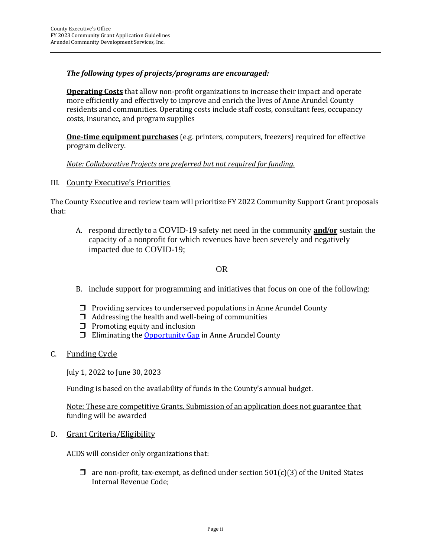#### *The following types of projects/programs are encouraged:*

**Operating Costs** that allow non-profit organizations to increase their impact and operate more efficiently and effectively to improve and enrich the lives of Anne Arundel County residents and communities. Operating costs include staff costs, consultant fees, occupancy costs, insurance, and program supplies

**One-time equipment purchases** (e.g. printers, computers, freezers) required for effective program delivery.

*Note: Collaborative Projects are preferred but not required for funding.*

III. County Executive's Priorities

The County Executive and review team will prioritize FY 2022 Community Support Grant proposals that:

A. respond directly to a COVID-19 safety net need in the community **and/or** sustain the capacity of a nonprofit for which revenues have been severely and negatively impacted due to COVID-19;

#### OR

- B. include support for programming and initiatives that focus on one of the following:
- $\Box$  Providing services to underserved populations in Anne Arundel County
- $\Box$  Addressing the health and well-being of communities
- $\Box$  Promoting equity and inclusion
- $\Box$  Eliminating the [Opportunity Gap](https://www.aacps.org/cms/lib/MD02215556/Centricity/Domain/1741/OpportunityGapReport2020-11-06.pdf) in Anne Arundel County
- C. Funding Cycle

July 1, 2022 to June 30, 2023

Funding is based on the availability of funds in the County's annual budget.

Note: These are competitive Grants. Submission of an application does not guarantee that funding will be awarded

D. Grant Criteria/Eligibility

ACDS will consider only organizations that:

 $\Box$  are non-profit, tax-exempt, as defined under section 501(c)(3) of the United States Internal Revenue Code;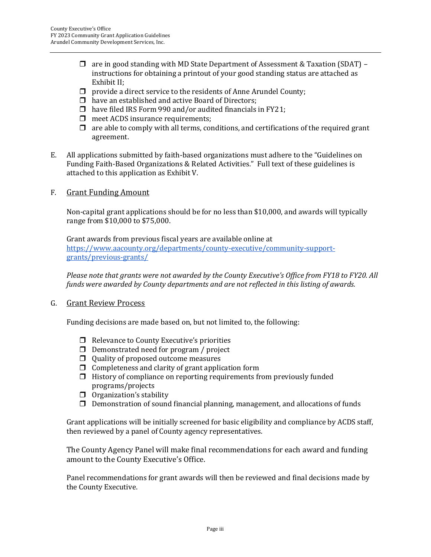- $\Box$  are in good standing with MD State Department of Assessment & Taxation (SDAT) instructions for obtaining a printout of your good standing status are attached as Exhibit II;
- $\Box$  provide a direct service to the residents of Anne Arundel County;
- $\Box$  have an established and active Board of Directors;
- $\Box$  have filed IRS Form 990 and/or audited financials in FY21;
- $\Box$  meet ACDS insurance requirements;
- $\Box$  are able to comply with all terms, conditions, and certifications of the required grant agreement.
- E. All applications submitted by faith-based organizations must adhere to the "Guidelines on Funding Faith-Based Organizations & Related Activities." Full text of these guidelines is attached to this application as Exhibit V.
- F. Grant Funding Amount

Non-capital grant applications should be for no less than \$10,000, and awards will typically range from \$10,000 to \$75,000.

Grant awards from previous fiscal years are available online at [https://www.aacounty.org/departments/county-executive/community-support](https://www.aacounty.org/departments/county-executive/community-support-grants/previous-grants/)[grants/previous-grants/](https://www.aacounty.org/departments/county-executive/community-support-grants/previous-grants/)

*Please note that grants were not awarded by the County Executive's Office from FY18 to FY20. All funds were awarded by County departments and are not reflected in this listing of awards.* 

G. Grant Review Process

Funding decisions are made based on, but not limited to, the following:

- $\Box$  Relevance to County Executive's priorities
- $\Box$  Demonstrated need for program / project
- $\Box$  Quality of proposed outcome measures
- $\Box$  Completeness and clarity of grant application form
- $\Box$  History of compliance on reporting requirements from previously funded programs/projects
- $\Box$  Organization's stability
- $\Box$  Demonstration of sound financial planning, management, and allocations of funds

Grant applications will be initially screened for basic eligibility and compliance by ACDS staff, then reviewed by a panel of County agency representatives.

The County Agency Panel will make final recommendations for each award and funding amount to the County Executive's Office.

Panel recommendations for grant awards will then be reviewed and final decisions made by the County Executive.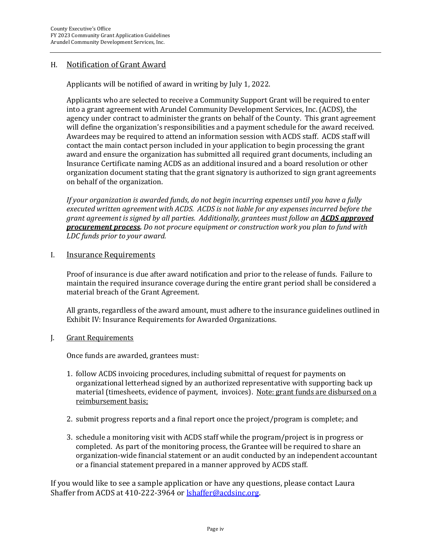#### H. Notification of Grant Award

Applicants will be notified of award in writing by July 1, 2022.

Applicants who are selected to receive a Community Support Grant will be required to enter into a grant agreement with Arundel Community Development Services, Inc. (ACDS), the agency under contract to administer the grants on behalf of the County. This grant agreement will define the organization's responsibilities and a payment schedule for the award received. Awardees may be required to attend an information session with ACDS staff. ACDS staff will contact the main contact person included in your application to begin processing the grant award and ensure the organization has submitted all required grant documents, including an Insurance Certificate naming ACDS as an additional insured and a board resolution or other organization document stating that the grant signatory is authorized to sign grant agreements on behalf of the organization.

*If your organization is awarded funds, do not begin incurring expenses until you have a fully executed written agreement with ACDS. ACDS is not liable for any expenses incurred before the grant agreement is signed by all parties. Additionally, grantees must follow an ACDS approved procurement process. Do not procure equipment or construction work you plan to fund with LDC funds prior to your award.*

#### I. Insurance Requirements

Proof of insurance is due after award notification and prior to the release of funds. Failure to maintain the required insurance coverage during the entire grant period shall be considered a material breach of the Grant Agreement.

All grants, regardless of the award amount, must adhere to the insurance guidelines outlined in Exhibit IV: Insurance Requirements for Awarded Organizations.

J. Grant Requirements

Once funds are awarded, grantees must:

- 1. follow ACDS invoicing procedures, including submittal of request for payments on organizational letterhead signed by an authorized representative with supporting back up material (timesheets, evidence of payment, invoices). Note: grant funds are disbursed on a reimbursement basis;
- 2. submit progress reports and a final report once the project/program is complete; and
- 3. schedule a monitoring visit with ACDS staff while the program/project is in progress or completed. As part of the monitoring process, the Grantee will be required to share an organization-wide financial statement or an audit conducted by an independent accountant or a financial statement prepared in a manner approved by ACDS staff.

If you would like to see a sample application or have any questions, please contact Laura Shaffer from ACDS at 410-222-3964 or [lshaffer@acdsinc.org.](mailto:lshaffer@acdsinc.org)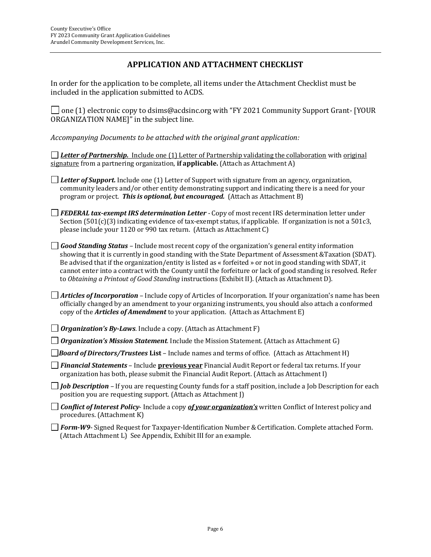#### **APPLICATION AND ATTACHMENT CHECKLIST**

In order for the application to be complete, all items under the Attachment Checklist must be included in the application submitted to ACDS.

 $\Box$  one (1) electronic copy to dsims@acdsinc.org with "FY 2021 Community Support Grant- [YOUR ORGANIZATION NAME]" in the subject line.

*Accompanying Documents to be attached with the original grant application:*

*Letter of Partnership.* Include one (1) Letter of Partnership validating the collaboration with original signature from a partnering organization, **if applicable.** (Attach as Attachment A)

*Letter of Support.* Include one (1) Letter of Support with signature from an agency, organization, community leaders and/or other entity demonstrating support and indicating there is a need for your program or project. *This is optional, but encouraged.* (Attach as Attachment B)

*FEDERAL tax-exempt IRS determination Letter -* Copy of most recent IRS determination letter under Section (501(c)(3) indicating evidence of tax-exempt status, if applicable. If organization is not a 501c3, please include your 1120 or 990 tax return. (Attach as Attachment C)

*Good Standing Status –* Include most recent copy of the organization's general entity information showing that it is currently in good standing with the State Department of Assessment &Taxation (SDAT). Be advised that if the organization/entity is listed as « forfeited » or not in good standing with SDAT, it cannot enter into a contract with the County until the forfeiture or lack of good standing is resolved. Refer to *Obtaining a Printout of Good Standing* instructions (Exhibit II). (Attach as Attachment D).

*Articles of Incorporation* – Include copy of Articles of Incorporation. If your organization's name has been officially changed by an amendment to your organizing instruments, you should also attach a conformed copy of the *Articles of Amendment* to your application. (Attach as Attachment E)

*Organization's By-Laws.* Include a copy. (Attach as Attachment F)

*Organization's Mission Statement.* Include the Mission Statement. (Attach as Attachment G)

**[Board of Directors/Trustees](http://www.cfcga.org/document.doc?id=936) List** – Include names and terms of office. (Attach as Attachment H)

*Financial Statements* – Include **previous year** [Financial Audit Report](http://www.cfcga.org/document.doc?id=919) or federal tax returns. If your organization has both, please submit the Financial Audit Report. (Attach as Attachment I)

*Job Description –* If you are requesting County funds for a staff position, include a Job Description for each position you are requesting support. (Attach as Attachment J)

*Conflict of Interest Policy*- Include a copy *of your organization's* written Conflict of Interest policy and procedures. (Attachment K)

*Form-W9*- Signed Request for Taxpayer-Identification Number & Certification. Complete attached Form. (Attach Attachment L) See Appendix, Exhibit III for an example.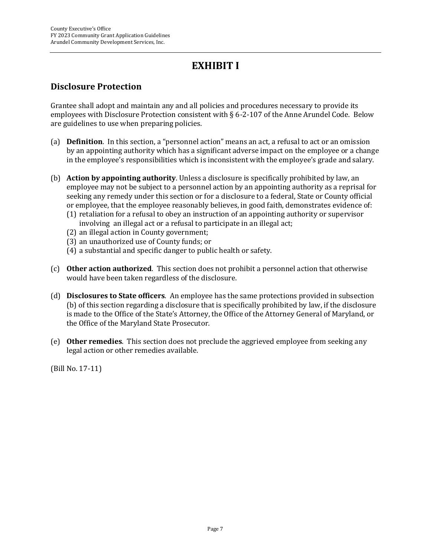# **EXHIBIT I**

## **Disclosure Protection**

Grantee shall adopt and maintain any and all policies and procedures necessary to provide its employees with Disclosure Protection consistent with § 6-2-107 of the Anne Arundel Code. Below are guidelines to use when preparing policies.

- (a) **Definition**. In this section, a "personnel action" means an act, a refusal to act or an omission by an appointing authority which has a significant adverse impact on the employee or a change in the employee's responsibilities which is inconsistent with the employee's grade and salary.
- (b) **Action by appointing authority**. Unless a disclosure is specifically prohibited by law, an employee may not be subject to a personnel action by an appointing authority as a reprisal for seeking any remedy under this section or for a disclosure to a federal, State or County official or employee, that the employee reasonably believes, in good faith, demonstrates evidence of:
	- (1) retaliation for a refusal to obey an instruction of an appointing authority or supervisor involving an illegal act or a refusal to participate in an illegal act;
	- (2) an illegal action in County government;
	- (3) an unauthorized use of County funds; or
	- (4) a substantial and specific danger to public health or safety.
- (c) **Other action authorized**. This section does not prohibit a personnel action that otherwise would have been taken regardless of the disclosure.
- (d) **Disclosures to State officers**. An employee has the same protections provided in subsection (b) of this section regarding a disclosure that is specifically prohibited by law, if the disclosure is made to the Office of the State's Attorney, the Office of the Attorney General of Maryland, or the Office of the Maryland State Prosecutor.
- (e) **Other remedies**. This section does not preclude the aggrieved employee from seeking any legal action or other remedies available.

(Bill No. 17-11)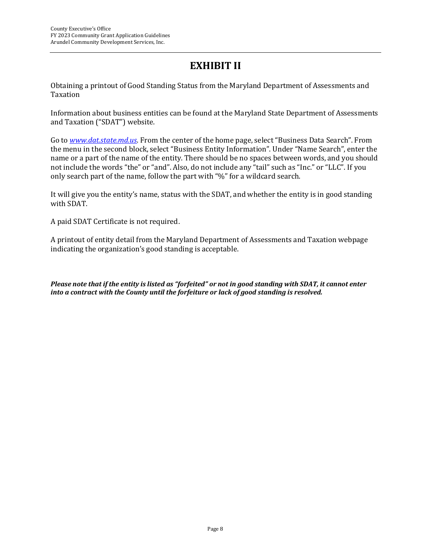# **EXHIBIT II**

Obtaining a printout of Good Standing Status from the Maryland Department of Assessments and Taxation

Information about business entities can be found at the Maryland State Department of Assessments and Taxation ("SDAT") website.

Go to *[www.dat.state.md.us](http://www.dat.state.md.us/)*. From the center of the home page, select "Business Data Search". From the menu in the second block, select "Business Entity Information". Under "Name Search", enter the name or a part of the name of the entity. There should be no spaces between words, and you should not include the words "the" or "and". Also, do not include any "tail" such as "Inc." or "LLC". If you only search part of the name, follow the part with "%" for a wildcard search.

It will give you the entity's name, status with the SDAT, and whether the entity is in good standing with SDAT.

A paid SDAT Certificate is not required.

A printout of entity detail from the Maryland Department of Assessments and Taxation webpage indicating the organization's good standing is acceptable.

*Please note that if the entity is listed as "forfeited" or not in good standing with SDAT, it cannot enter into a contract with the County until the forfeiture or lack of good standing is resolved.*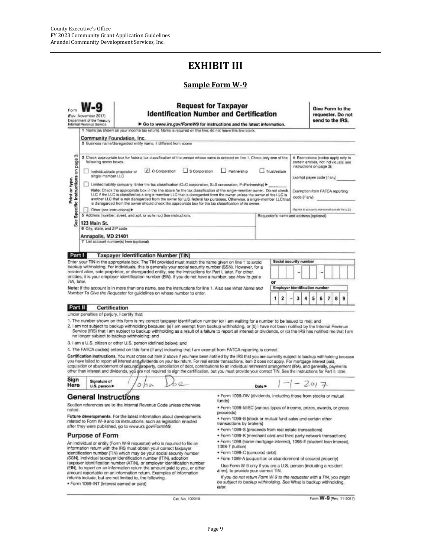# **EXHIBIT III**

#### **Sample Form W-9**

| Form                                                                                                                                                                                                                  | (Rev. November 2017)<br>Department of the Treasury<br>Internal Revenue Service                                                                                                                                                                                                                                                                                                                                                                                                                                                                                                                                      |                                                                                                                                                   | <b>Identification Number and Certification</b><br>> Go to www.irs.gov/FormW9 for instructions and the latest information.                                                                                                                                                                                                                                                                                                                                                                                                                                                                                                                                      | <b>Request for Taxpayer</b>    |        |    |   |  |                            |                                                                                                         | send to the IRS. |   |   | Give Form to the<br>requester. Do not |  |
|-----------------------------------------------------------------------------------------------------------------------------------------------------------------------------------------------------------------------|---------------------------------------------------------------------------------------------------------------------------------------------------------------------------------------------------------------------------------------------------------------------------------------------------------------------------------------------------------------------------------------------------------------------------------------------------------------------------------------------------------------------------------------------------------------------------------------------------------------------|---------------------------------------------------------------------------------------------------------------------------------------------------|----------------------------------------------------------------------------------------------------------------------------------------------------------------------------------------------------------------------------------------------------------------------------------------------------------------------------------------------------------------------------------------------------------------------------------------------------------------------------------------------------------------------------------------------------------------------------------------------------------------------------------------------------------------|--------------------------------|--------|----|---|--|----------------------------|---------------------------------------------------------------------------------------------------------|------------------|---|---|---------------------------------------|--|
|                                                                                                                                                                                                                       | 1 Name (as shown on your income tax return). Name is required on this line; do not leave this line blank.                                                                                                                                                                                                                                                                                                                                                                                                                                                                                                           |                                                                                                                                                   |                                                                                                                                                                                                                                                                                                                                                                                                                                                                                                                                                                                                                                                                |                                |        |    |   |  |                            |                                                                                                         |                  |   |   |                                       |  |
|                                                                                                                                                                                                                       | Community Foundation, Inc.<br>2 Business name/disregarded entity name, if different from above                                                                                                                                                                                                                                                                                                                                                                                                                                                                                                                      |                                                                                                                                                   |                                                                                                                                                                                                                                                                                                                                                                                                                                                                                                                                                                                                                                                                |                                |        |    |   |  |                            |                                                                                                         |                  |   |   |                                       |  |
| త<br>Specific Instructions on page<br>Print or type.                                                                                                                                                                  | following seven boxes.                                                                                                                                                                                                                                                                                                                                                                                                                                                                                                                                                                                              |                                                                                                                                                   | 3 Check appropriate bux for federal tax classification of the person whose name is entered on line 1. Check only one of the                                                                                                                                                                                                                                                                                                                                                                                                                                                                                                                                    |                                |        |    |   |  |                            | 4 Exemptions (codes apply only to<br>cortain entities, not individuals; see<br>instructions on page 3): |                  |   |   |                                       |  |
|                                                                                                                                                                                                                       | C Coroorstion<br>S Corporation<br>Trust/estate<br>Partnership<br>Individual/sole proprietor or<br>single-member LLC                                                                                                                                                                                                                                                                                                                                                                                                                                                                                                 |                                                                                                                                                   |                                                                                                                                                                                                                                                                                                                                                                                                                                                                                                                                                                                                                                                                |                                |        |    |   |  | Exempt payee code (if any) |                                                                                                         |                  |   |   |                                       |  |
|                                                                                                                                                                                                                       | Limited liability company. Enter the tax classification (C=C corporation, S=S corporation, P=Partnership) ▶<br>Note: Check the appropriate box in the line above for the tax classification of the single-member owner. Do not check.<br>LLC if the LLC is classified as a single-member LLC that is disregarded from the owner unities the owner of the LLC is<br>code if any)<br>another LLC that is not disregarded from the owner for U.S. federal tax purposes. Otherwise, a single-member LLC that<br>is disregarded from the owner should check the appropriate box for the tax classification of its owner. |                                                                                                                                                   |                                                                                                                                                                                                                                                                                                                                                                                                                                                                                                                                                                                                                                                                |                                |        |    |   |  |                            | Exemption from FATCA reporting                                                                          |                  |   |   |                                       |  |
|                                                                                                                                                                                                                       | Other (see instructions)                                                                                                                                                                                                                                                                                                                                                                                                                                                                                                                                                                                            |                                                                                                                                                   |                                                                                                                                                                                                                                                                                                                                                                                                                                                                                                                                                                                                                                                                |                                |        |    |   |  |                            | plogons in accounts maniferent outside the U.S.J.                                                       |                  |   |   |                                       |  |
|                                                                                                                                                                                                                       | 5 Address (number, street, and apt. or suite no.) See instructions.<br>Requester's name and address (optional)                                                                                                                                                                                                                                                                                                                                                                                                                                                                                                      |                                                                                                                                                   |                                                                                                                                                                                                                                                                                                                                                                                                                                                                                                                                                                                                                                                                |                                |        |    |   |  |                            |                                                                                                         |                  |   |   |                                       |  |
| See                                                                                                                                                                                                                   | 123 Main St.                                                                                                                                                                                                                                                                                                                                                                                                                                                                                                                                                                                                        |                                                                                                                                                   |                                                                                                                                                                                                                                                                                                                                                                                                                                                                                                                                                                                                                                                                |                                |        |    |   |  |                            |                                                                                                         |                  |   |   |                                       |  |
|                                                                                                                                                                                                                       | 6 City, state, and ZIP code                                                                                                                                                                                                                                                                                                                                                                                                                                                                                                                                                                                         |                                                                                                                                                   |                                                                                                                                                                                                                                                                                                                                                                                                                                                                                                                                                                                                                                                                |                                |        |    |   |  |                            |                                                                                                         |                  |   |   |                                       |  |
|                                                                                                                                                                                                                       | Annapolis, MD 21401<br>7 List account number(s) here (optional)                                                                                                                                                                                                                                                                                                                                                                                                                                                                                                                                                     |                                                                                                                                                   |                                                                                                                                                                                                                                                                                                                                                                                                                                                                                                                                                                                                                                                                |                                |        |    |   |  |                            |                                                                                                         |                  |   |   |                                       |  |
|                                                                                                                                                                                                                       |                                                                                                                                                                                                                                                                                                                                                                                                                                                                                                                                                                                                                     |                                                                                                                                                   |                                                                                                                                                                                                                                                                                                                                                                                                                                                                                                                                                                                                                                                                |                                |        |    |   |  |                            |                                                                                                         |                  |   |   |                                       |  |
| Part I                                                                                                                                                                                                                |                                                                                                                                                                                                                                                                                                                                                                                                                                                                                                                                                                                                                     | <b>Taxpayer Identification Number (TIN)</b>                                                                                                       |                                                                                                                                                                                                                                                                                                                                                                                                                                                                                                                                                                                                                                                                |                                |        |    |   |  |                            |                                                                                                         |                  |   |   |                                       |  |
|                                                                                                                                                                                                                       |                                                                                                                                                                                                                                                                                                                                                                                                                                                                                                                                                                                                                     |                                                                                                                                                   | Enter your TIN in the appropriate box. The TIN provided must match the name given on line 1 to avoid.                                                                                                                                                                                                                                                                                                                                                                                                                                                                                                                                                          |                                |        |    |   |  |                            | Social security number                                                                                  |                  |   |   |                                       |  |
|                                                                                                                                                                                                                       | backup withholding. For individuals, this is generally your social security number (SSN). However, for a                                                                                                                                                                                                                                                                                                                                                                                                                                                                                                            |                                                                                                                                                   |                                                                                                                                                                                                                                                                                                                                                                                                                                                                                                                                                                                                                                                                |                                |        |    |   |  |                            |                                                                                                         |                  |   |   |                                       |  |
| resident alien, sole proprietor, or disregarded entity, see the instructions for Part I, later. For other<br>entities, it is your employer identification number (EIM). If you do not have a number, see How to get a |                                                                                                                                                                                                                                                                                                                                                                                                                                                                                                                                                                                                                     |                                                                                                                                                   |                                                                                                                                                                                                                                                                                                                                                                                                                                                                                                                                                                                                                                                                |                                |        |    |   |  |                            |                                                                                                         |                  |   |   |                                       |  |
| TIN, later.                                                                                                                                                                                                           |                                                                                                                                                                                                                                                                                                                                                                                                                                                                                                                                                                                                                     |                                                                                                                                                   |                                                                                                                                                                                                                                                                                                                                                                                                                                                                                                                                                                                                                                                                |                                |        | or |   |  |                            |                                                                                                         |                  |   |   |                                       |  |
|                                                                                                                                                                                                                       |                                                                                                                                                                                                                                                                                                                                                                                                                                                                                                                                                                                                                     |                                                                                                                                                   | Note: If the account is in more than one name, see the instructions for line 1. Also see What Name and                                                                                                                                                                                                                                                                                                                                                                                                                                                                                                                                                         | Employer identification number |        |    |   |  |                            |                                                                                                         |                  |   |   |                                       |  |
|                                                                                                                                                                                                                       |                                                                                                                                                                                                                                                                                                                                                                                                                                                                                                                                                                                                                     |                                                                                                                                                   | Number To Give the Requester for guidelines on whose number to enter.                                                                                                                                                                                                                                                                                                                                                                                                                                                                                                                                                                                          |                                |        |    |   |  |                            |                                                                                                         |                  |   |   |                                       |  |
|                                                                                                                                                                                                                       |                                                                                                                                                                                                                                                                                                                                                                                                                                                                                                                                                                                                                     |                                                                                                                                                   |                                                                                                                                                                                                                                                                                                                                                                                                                                                                                                                                                                                                                                                                |                                |        | 1  | 2 |  | 3                          | 5                                                                                                       | 6                | 7 | 8 | 9                                     |  |
| Part II                                                                                                                                                                                                               | Certification                                                                                                                                                                                                                                                                                                                                                                                                                                                                                                                                                                                                       |                                                                                                                                                   |                                                                                                                                                                                                                                                                                                                                                                                                                                                                                                                                                                                                                                                                |                                |        |    |   |  |                            |                                                                                                         |                  |   |   |                                       |  |
|                                                                                                                                                                                                                       |                                                                                                                                                                                                                                                                                                                                                                                                                                                                                                                                                                                                                     | no longer subject to backup withholding; and<br>3. I am a U.S. citizen or other U.S. person (defined below); and                                  | 1. The number shown on this form is my correct taxpayer identification number (or I am waiting for a number to be issued to me); and<br>2. I am not subject to backup withholding because: (a) I am exempt from backup withholding, or (b) I have not been notified by the Internal Revenue<br>Service (IRS) that I am subject to backup withholding as a result of a failure to report all interest or dividends, or (c) the IRS has notified me that I am                                                                                                                                                                                                    |                                |        |    |   |  |                            |                                                                                                         |                  |   |   |                                       |  |
|                                                                                                                                                                                                                       |                                                                                                                                                                                                                                                                                                                                                                                                                                                                                                                                                                                                                     |                                                                                                                                                   | 4. The FATCA code(s) entered on this form (if any) indicating that I am exempt from FATCA reporting is correct.                                                                                                                                                                                                                                                                                                                                                                                                                                                                                                                                                |                                |        |    |   |  |                            |                                                                                                         |                  |   |   |                                       |  |
|                                                                                                                                                                                                                       |                                                                                                                                                                                                                                                                                                                                                                                                                                                                                                                                                                                                                     |                                                                                                                                                   | Certification instructions. You must cross out item 2 above if you have been notified by the IRS that you are currently subject to backup withholding because<br>you have failed to report all interest and dividends on your tax return. For real estate transactions, item 2 does not apply. For mortgage interest paid,<br>acquisition or abandonment of secured property, cancellation of debt, contributions to an individual retirement arrangement (IRA), and generally, payments<br>other than interest and dividends, you are not required to sign the certification, but you must provide your correct TIN. See the instructions for Part II, later. |                                |        |    |   |  |                            |                                                                                                         |                  |   |   |                                       |  |
| Sign<br>Here                                                                                                                                                                                                          | Signature of<br>U.S. person >                                                                                                                                                                                                                                                                                                                                                                                                                                                                                                                                                                                       | 0/11                                                                                                                                              |                                                                                                                                                                                                                                                                                                                                                                                                                                                                                                                                                                                                                                                                |                                | Date > |    |   |  |                            | 2017                                                                                                    |                  |   |   |                                       |  |
|                                                                                                                                                                                                                       | <b>General Instructions</b>                                                                                                                                                                                                                                                                                                                                                                                                                                                                                                                                                                                         | . Form 1099-DIV (dividends, including those from stocks or mutual<br>funds)                                                                       |                                                                                                                                                                                                                                                                                                                                                                                                                                                                                                                                                                                                                                                                |                                |        |    |   |  |                            |                                                                                                         |                  |   |   |                                       |  |
| noted.                                                                                                                                                                                                                | Section references are to the Internal Revenue Code unless otherwise<br>Future developments. For the latest information about developments                                                                                                                                                                                                                                                                                                                                                                                                                                                                          | · Form 1099-MISC (various types of income, prizes, awards, or gross<br>proceeds)                                                                  |                                                                                                                                                                                                                                                                                                                                                                                                                                                                                                                                                                                                                                                                |                                |        |    |   |  |                            |                                                                                                         |                  |   |   |                                       |  |
|                                                                                                                                                                                                                       | related to Form W-9 and its instructions, such as legislation enacted<br>after they were published, go to www.irs.gov/FormW9.                                                                                                                                                                                                                                                                                                                                                                                                                                                                                       | . Form 1099-B (stock or mutual fund sales and certain other<br>transactions by brokers)<br>· Form 1099-S (proceeds from real estate transactions) |                                                                                                                                                                                                                                                                                                                                                                                                                                                                                                                                                                                                                                                                |                                |        |    |   |  |                            |                                                                                                         |                  |   |   |                                       |  |
|                                                                                                                                                                                                                       | <b>Purpose of Form</b>                                                                                                                                                                                                                                                                                                                                                                                                                                                                                                                                                                                              |                                                                                                                                                   | . Form 1099-K (merchant card and third party network transactions)                                                                                                                                                                                                                                                                                                                                                                                                                                                                                                                                                                                             |                                |        |    |   |  |                            |                                                                                                         |                  |   |   |                                       |  |
|                                                                                                                                                                                                                       | An individual or entity (Form W-9 requester) who is required to file an<br>information return with the IRS must obtain your correct taxpayer                                                                                                                                                                                                                                                                                                                                                                                                                                                                        | . Form 1098 (home mortgage interest), 1096-E (student loan interest),<br>1098-T (tuition)                                                         |                                                                                                                                                                                                                                                                                                                                                                                                                                                                                                                                                                                                                                                                |                                |        |    |   |  |                            |                                                                                                         |                  |   |   |                                       |  |
|                                                                                                                                                                                                                       |                                                                                                                                                                                                                                                                                                                                                                                                                                                                                                                                                                                                                     | identification number (TIN) which may be your social security number                                                                              | · Form 1099-C (canceled debt)                                                                                                                                                                                                                                                                                                                                                                                                                                                                                                                                                                                                                                  |                                |        |    |   |  |                            |                                                                                                         |                  |   |   |                                       |  |
|                                                                                                                                                                                                                       |                                                                                                                                                                                                                                                                                                                                                                                                                                                                                                                                                                                                                     | (SSN), individual taxpayer identification number (ITIN), adoption<br>taxpayer identification number (ATIN), or employer identification number     | . Form 1099-A (acquisition or abandonment of secured property)                                                                                                                                                                                                                                                                                                                                                                                                                                                                                                                                                                                                 |                                |        |    |   |  |                            |                                                                                                         |                  |   |   |                                       |  |
|                                                                                                                                                                                                                       |                                                                                                                                                                                                                                                                                                                                                                                                                                                                                                                                                                                                                     | (EIN), to report on an information return the amount paid to you, or other<br>amount reportable on an information return. Examples of information | Use Form W-9 only if you are a U.S. person (including a resident<br>alien), to provide your correct TIN.<br>If you do not return Form W-9 to the requester with a TIN, you might                                                                                                                                                                                                                                                                                                                                                                                                                                                                               |                                |        |    |   |  |                            |                                                                                                         |                  |   |   |                                       |  |
|                                                                                                                                                                                                                       | · Form 1099-INT (interest earned or paid)                                                                                                                                                                                                                                                                                                                                                                                                                                                                                                                                                                           | returns include, but are not limited to, the following.                                                                                           | be subject to backup withholding. See What is backup withholding,<br>later.                                                                                                                                                                                                                                                                                                                                                                                                                                                                                                                                                                                    |                                |        |    |   |  |                            |                                                                                                         |                  |   |   |                                       |  |

Cat. No. 10231X

Form W-9 (Rev. 11-2017)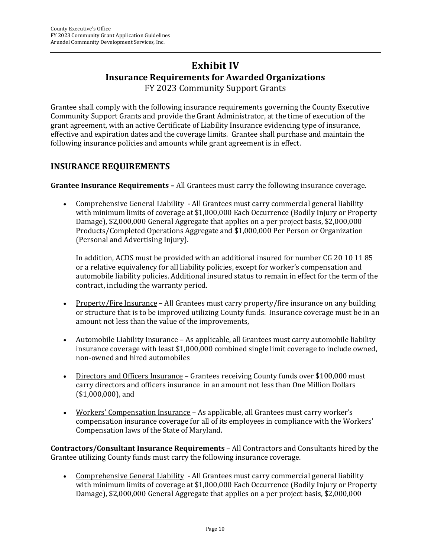## **Exhibit IV Insurance Requirements for Awarded Organizations** FY 2023 Community Support Grants

Grantee shall comply with the following insurance requirements governing the County Executive Community Support Grants and provide the Grant Administrator, at the time of execution of the grant agreement, with an active Certificate of Liability Insurance evidencing type of insurance, effective and expiration dates and the coverage limits. Grantee shall purchase and maintain the following insurance policies and amounts while grant agreement is in effect.

#### **INSURANCE REQUIREMENTS**

**Grantee Insurance Requirements –** All Grantees must carry the following insurance coverage.

• Comprehensive General Liability - All Grantees must carry commercial general liability with minimum limits of coverage at \$1,000,000 Each Occurrence (Bodily Injury or Property Damage), \$2,000,000 General Aggregate that applies on a per project basis, \$2,000,000 Products/Completed Operations Aggregate and \$1,000,000 Per Person or Organization (Personal and Advertising Injury).

In addition, ACDS must be provided with an additional insured for number CG 20 10 11 85 or a relative equivalency for all liability policies, except for worker's compensation and automobile liability policies. Additional insured status to remain in effect for the term of the contract, including the warranty period.

- Property/Fire Insurance All Grantees must carry property/fire insurance on any building or structure that is to be improved utilizing County funds. Insurance coverage must be in an amount not less than the value of the improvements,
- Automobile Liability Insurance As applicable, all Grantees must carry automobile liability insurance coverage with least \$1,000,000 combined single limit coverage to include owned, non-owned and hired automobiles
- Directors and Officers Insurance Grantees receiving County funds over \$100,000 must carry directors and officers insurance in an amount not less than One Million Dollars (\$1,000,000), and
- Workers' Compensation Insurance As applicable, all Grantees must carry worker's compensation insurance coverage for all of its employees in compliance with the Workers' Compensation laws of the State of Maryland.

**Contractors/Consultant Insurance Requirements** – All Contractors and Consultants hired by the Grantee utilizing County funds must carry the following insurance coverage.

• Comprehensive General Liability - All Grantees must carry commercial general liability with minimum limits of coverage at \$1,000,000 Each Occurrence (Bodily Injury or Property Damage), \$2,000,000 General Aggregate that applies on a per project basis, \$2,000,000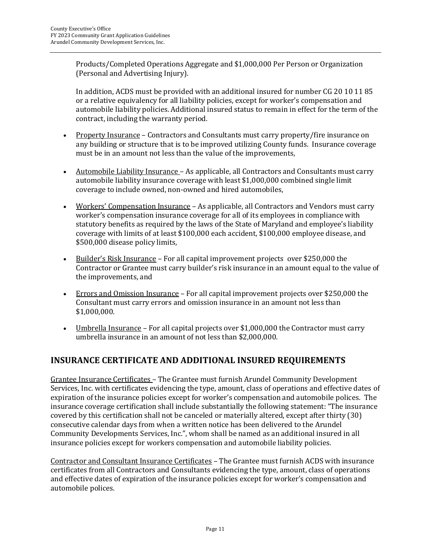Products/Completed Operations Aggregate and \$1,000,000 Per Person or Organization (Personal and Advertising Injury).

In addition, ACDS must be provided with an additional insured for number CG 20 10 11 85 or a relative equivalency for all liability policies, except for worker's compensation and automobile liability policies. Additional insured status to remain in effect for the term of the contract, including the warranty period.

- Property Insurance Contractors and Consultants must carry property/fire insurance on any building or structure that is to be improved utilizing County funds. Insurance coverage must be in an amount not less than the value of the improvements,
- Automobile Liability Insurance As applicable, all Contractors and Consultants must carry automobile liability insurance coverage with least \$1,000,000 combined single limit coverage to include owned, non-owned and hired automobiles,
- Workers' Compensation Insurance As applicable, all Contractors and Vendors must carry worker's compensation insurance coverage for all of its employees in compliance with statutory benefits as required by the laws of the State of Maryland and employee's liability coverage with limits of at least \$100,000 each accident, \$100,000 employee disease, and \$500,000 disease policy limits,
- Builder's Risk Insurance For all capital improvement projects over \$250,000 the Contractor or Grantee must carry builder's risk insurance in an amount equal to the value of the improvements, and
- Errors and Omission Insurance For all capital improvement projects over \$250,000 the Consultant must carry errors and omission insurance in an amount not less than \$1,000,000.
- Umbrella Insurance For all capital projects over \$1,000,000 the Contractor must carry umbrella insurance in an amount of not less than \$2,000,000.

#### **INSURANCE CERTIFICATE AND ADDITIONAL INSURED REQUIREMENTS**

Grantee Insurance Certificates – The Grantee must furnish Arundel Community Development Services, Inc. with certificates evidencing the type, amount, class of operations and effective dates of expiration of the insurance policies except for worker's compensation and automobile polices. The insurance coverage certification shall include substantially the following statement: "The insurance covered by this certification shall not be canceled or materially altered, except after thirty (30) consecutive calendar days from when a written notice has been delivered to the Arundel Community Developments Services, Inc.", whom shall be named as an additional insured in all insurance policies except for workers compensation and automobile liability policies.

Contractor and Consultant Insurance Certificates – The Grantee must furnish ACDS with insurance certificates from all Contractors and Consultants evidencing the type, amount, class of operations and effective dates of expiration of the insurance policies except for worker's compensation and automobile polices.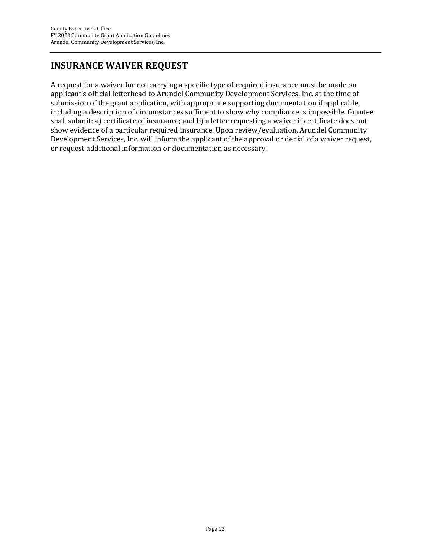# **INSURANCE WAIVER REQUEST**

A request for a waiver for not carrying a specific type of required insurance must be made on applicant's official letterhead to Arundel Community Development Services, Inc. at the time of submission of the grant application, with appropriate supporting documentation if applicable, including a description of circumstances sufficient to show why compliance is impossible. Grantee shall submit: a) certificate of insurance; and b) a letter requesting a waiver if certificate does not show evidence of a particular required insurance. Upon review/evaluation, Arundel Community Development Services, Inc. will inform the applicant of the approval or denial of a waiver request, or request additional information or documentation as necessary.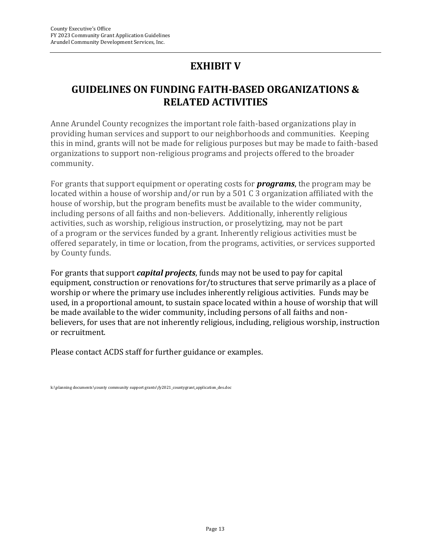# **EXHIBIT V**

# **GUIDELINES ON FUNDING FAITH-BASED ORGANIZATIONS & RELATED ACTIVITIES**

Anne Arundel County recognizes the important role faith-based organizations play in providing human services and support to our neighborhoods and communities. Keeping this in mind, grants will not be made for religious purposes but may be made to faith-based organizations to support non-religious programs and projects offered to the broader community.

For grants that support equipment or operating costs for *programs*, the program may be located within a house of worship and/or run by a 501 C 3 organization affiliated with the house of worship, but the program benefits must be available to the wider community, including persons of all faiths and non-believers. Additionally, inherently religious activities, such as worship, religious instruction, or proselytizing, may not be part of a program or the services funded by a grant. Inherently religious activities must be offered separately, in time or location, from the programs, activities, or services supported by County funds.

For grants that support *capital projects*, funds may not be used to pay for capital equipment, construction or renovations for/to structures that serve primarily as a place of worship or where the primary use includes inherently religious activities. Funds may be used, in a proportional amount, to sustain space located within a house of worship that will be made available to the wider community, including persons of all faiths and nonbelievers, for uses that are not inherently religious, including, religious worship, instruction or recruitment.

Please contact ACDS staff for further guidance or examples.

k:\planning documents\county community support grants\fy2021\_countygrant\_application\_des.doc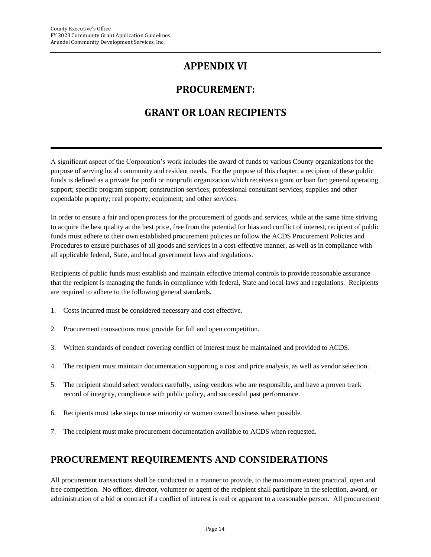# **APPENDIX VI**

# **PROCUREMENT:**

# **GRANT OR LOAN RECIPIENTS**

A significant aspect of the Corporation's work includes the award of funds to various County organizations for the purpose of serving local community and resident needs. For the purpose of this chapter, a recipient of these public funds is defined as a private for profit or nonprofit organization which receives a grant or loan for: general operating support; specific program support; construction services; professional consultant services; supplies and other expendable property; real property; equipment; and other services.

In order to ensure a fair and open process for the procurement of goods and services, while at the same time striving to acquire the best quality at the best price, free from the potential for bias and conflict of interest, recipient of public funds must adhere to their own established procurement policies or follow the ACDS Procurement Policies and Procedures to ensure purchases of all goods and services in a cost-effective manner, as well as in compliance with all applicable federal, State, and local government laws and regulations.

Recipients of public funds must establish and maintain effective internal controls to provide reasonable assurance that the recipient is managing the funds in compliance with federal, State and local laws and regulations. Recipients are required to adhere to the following general standards.

- 1. Costs incurred must be considered necessary and cost effective.
- 2. Procurement transactions must provide for full and open competition.
- 3. Written standards of conduct covering conflict of interest must be maintained and provided to ACDS.
- 4. The recipient must maintain documentation supporting a cost and price analysis, as well as vendor selection.
- 5. The recipient should select vendors carefully, using vendors who are responsible, and have a proven track record of integrity, compliance with public policy, and successful past performance.
- 6. Recipients must take steps to use minority or women owned business when possible.
- 7. The recipient must make procurement documentation available to ACDS when requested.

# **PROCUREMENT REQUIREMENTS AND CONSIDERATIONS**

All procurement transactions shall be conducted in a manner to provide, to the maximum extent practical, open and free competition. No officer, director, volunteer or agent of the recipient shall participate in the selection, award, or administration of a bid or contract if a conflict of interest is real or apparent to a reasonable person. All procurement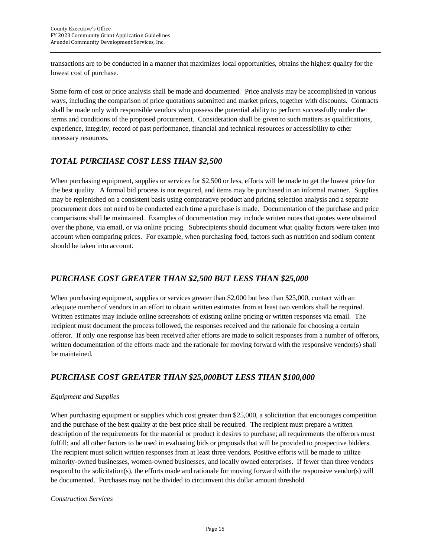transactions are to be conducted in a manner that maximizes local opportunities, obtains the highest quality for the lowest cost of purchase.

Some form of cost or price analysis shall be made and documented. Price analysis may be accomplished in various ways, including the comparison of price quotations submitted and market prices, together with discounts. Contracts shall be made only with responsible vendors who possess the potential ability to perform successfully under the terms and conditions of the proposed procurement. Consideration shall be given to such matters as qualifications, experience, integrity, record of past performance, financial and technical resources or accessibility to other necessary resources.

#### *TOTAL PURCHASE COST LESS THAN \$2,500*

When purchasing equipment, supplies or services for \$2,500 or less, efforts will be made to get the lowest price for the best quality. A formal bid process is not required, and items may be purchased in an informal manner. Supplies may be replenished on a consistent basis using comparative product and pricing selection analysis and a separate procurement does not need to be conducted each time a purchase is made. Documentation of the purchase and price comparisons shall be maintained. Examples of documentation may include written notes that quotes were obtained over the phone, via email, or via online pricing. Subrecipients should document what quality factors were taken into account when comparing prices. For example, when purchasing food, factors such as nutrition and sodium content should be taken into account.

#### *PURCHASE COST GREATER THAN \$2,500 BUT LESS THAN \$25,000*

When purchasing equipment, supplies or services greater than \$2,000 but less than \$25,000, contact with an adequate number of vendors in an effort to obtain written estimates from at least two vendors shall be required. Written estimates may include online screenshots of existing online pricing or written responses via email. The recipient must document the process followed, the responses received and the rationale for choosing a certain offeror. If only one response has been received after efforts are made to solicit responses from a number of offerors, written documentation of the efforts made and the rationale for moving forward with the responsive vendor(s) shall be maintained.

#### *PURCHASE COST GREATER THAN \$25,000BUT LESS THAN \$100,000*

#### *Equipment and Supplies*

When purchasing equipment or supplies which cost greater than \$25,000, a solicitation that encourages competition and the purchase of the best quality at the best price shall be required. The recipient must prepare a written description of the requirements for the material or product it desires to purchase; all requirements the offerors must fulfill; and all other factors to be used in evaluating bids or proposals that will be provided to prospective bidders. The recipient must solicit written responses from at least three vendors. Positive efforts will be made to utilize minority-owned businesses, women-owned businesses, and locally owned enterprises. If fewer than three vendors respond to the solicitation(s), the efforts made and rationale for moving forward with the responsive vendor(s) will be documented. Purchases may not be divided to circumvent this dollar amount threshold.

#### *Construction Services*